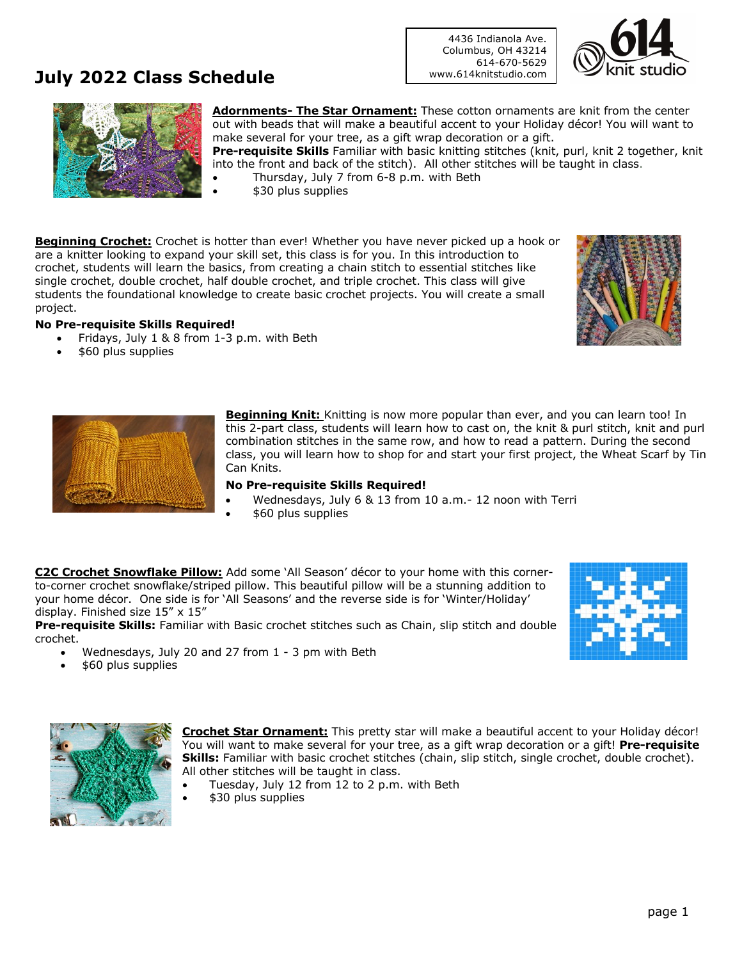### **July 2022 Class Schedule**

4436 Indianola Ave. Columbus, OH 43214 614-670-5629 www.614knitstudio.com





**Adornments- The Star Ornament:** These cotton ornaments are knit from the center out with beads that will make a beautiful accent to your Holiday décor! You will want to make several for your tree, as a gift wrap decoration or a gift. **Pre-requisite Skills** Familiar with basic knitting stitches (knit, purl, knit 2 together, knit

into the front and back of the stitch). All other stitches will be taught in class. • Thursday, July 7 from 6-8 p.m. with Beth

• \$30 plus supplies

**Beginning Crochet:** Crochet is hotter than ever! Whether you have never picked up a hook or are a knitter looking to expand your skill set, this class is for you. In this introduction to crochet, students will learn the basics, from creating a chain stitch to essential stitches like single crochet, double crochet, half double crochet, and triple crochet. This class will give students the foundational knowledge to create basic crochet projects. You will create a small project.

#### **No Pre-requisite Skills Required!**

- Fridays, July 1 & 8 from 1-3 p.m. with Beth
- \$60 plus supplies



**Beginning Knit:** Knitting is now more popular than ever, and you can learn too! In this 2-part class, students will learn how to cast on, the knit & purl stitch, knit and purl combination stitches in the same row, and how to read a pattern. During the second class, you will learn how to shop for and start your first project, the Wheat Scarf by Tin Can Knits.

#### **No Pre-requisite Skills Required!**

- Wednesdays, July 6 & 13 from 10 a.m.- 12 noon with Terri
- \$60 plus supplies

**C2C Crochet Snowflake Pillow:** Add some 'All Season' décor to your home with this cornerto-corner crochet snowflake/striped pillow. This beautiful pillow will be a stunning addition to your home décor. One side is for 'All Seasons' and the reverse side is for 'Winter/Holiday' display. Finished size 15" x 15"

**Pre-requisite Skills:** Familiar with Basic crochet stitches such as Chain, slip stitch and double crochet.

- Wednesdays, July 20 and 27 from 1 3 pm with Beth
- \$60 plus supplies



**Crochet Star Ornament:** This pretty star will make a beautiful accent to your Holiday décor! You will want to make several for your tree, as a gift wrap decoration or a gift! **Pre-requisite Skills:** Familiar with basic crochet stitches (chain, slip stitch, single crochet, double crochet). All other stitches will be taught in class.

- Tuesday, July 12 from 12 to 2 p.m. with Beth
- \$30 plus supplies



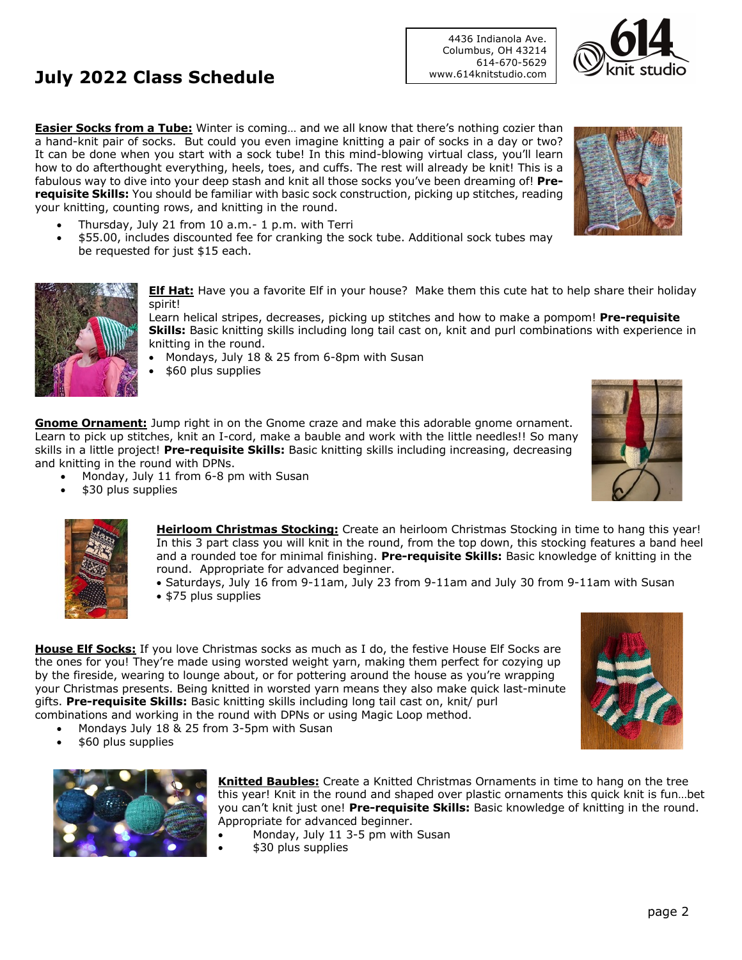## **July 2022 Class Schedule**

**Easier Socks from a Tube:** Winter is coming… and we all know that there's nothing cozier than a hand-knit pair of socks. But could you even imagine knitting a pair of socks in a day or two? It can be done when you start with a sock tube! In this mind-blowing virtual class, you'll learn how to do afterthought everything, heels, toes, and cuffs. The rest will already be knit! This is a fabulous way to dive into your deep stash and knit all those socks you've been dreaming of! **Prerequisite Skills:** You should be familiar with basic sock construction, picking up stitches, reading your knitting, counting rows, and knitting in the round.

- Thursday, July 21 from 10 a.m.- 1 p.m. with Terri
- \$55.00, includes discounted fee for cranking the sock tube. Additional sock tubes may be requested for just \$15 each.

**Elf Hat:** Have you a favorite Elf in your house? Make them this cute hat to help share their holiday spirit!

Learn helical stripes, decreases, picking up stitches and how to make a pompom! **Pre-requisite Skills:** Basic knitting skills including long tail cast on, knit and purl combinations with experience in knitting in the round.

- Mondays, July 18 & 25 from 6-8pm with Susan
- \$60 plus supplies

**Gnome Ornament:** Jump right in on the Gnome craze and make this adorable gnome ornament. Learn to pick up stitches, knit an I-cord, make a bauble and work with the little needles!! So many skills in a little project! **Pre-requisite Skills:** Basic knitting skills including increasing, decreasing and knitting in the round with DPNs.

- Monday, July 11 from 6-8 pm with Susan
- \$30 plus supplies



• Saturdays, July 16 from 9-11am, July 23 from 9-11am and July 30 from 9-11am with Susan • \$75 plus supplies

**House Elf Socks:** If you love Christmas socks as much as I do, the festive House Elf Socks are the ones for you! They're made using worsted weight yarn, making them perfect for cozying up by the fireside, wearing to lounge about, or for pottering around the house as you're wrapping your Christmas presents. Being knitted in worsted yarn means they also make quick last-minute gifts. **Pre-requisite Skills:** Basic knitting skills including long tail cast on, knit/ purl combinations and working in the round with DPNs or using Magic Loop method.

- Mondays July 18 & 25 from 3-5pm with Susan
- \$60 plus supplies

**Knitted Baubles:** Create a Knitted Christmas Ornaments in time to hang on the tree this year! Knit in the round and shaped over plastic ornaments this quick knit is fun…bet you can't knit just one! **Pre-requisite Skills:** Basic knowledge of knitting in the round. Appropriate for advanced beginner.

- Monday, July 11 3-5 pm with Susan
- \$30 plus supplies







4436 Indianola Ave. Columbus, OH 43214 614-670-5629 www.614knitstudio.com